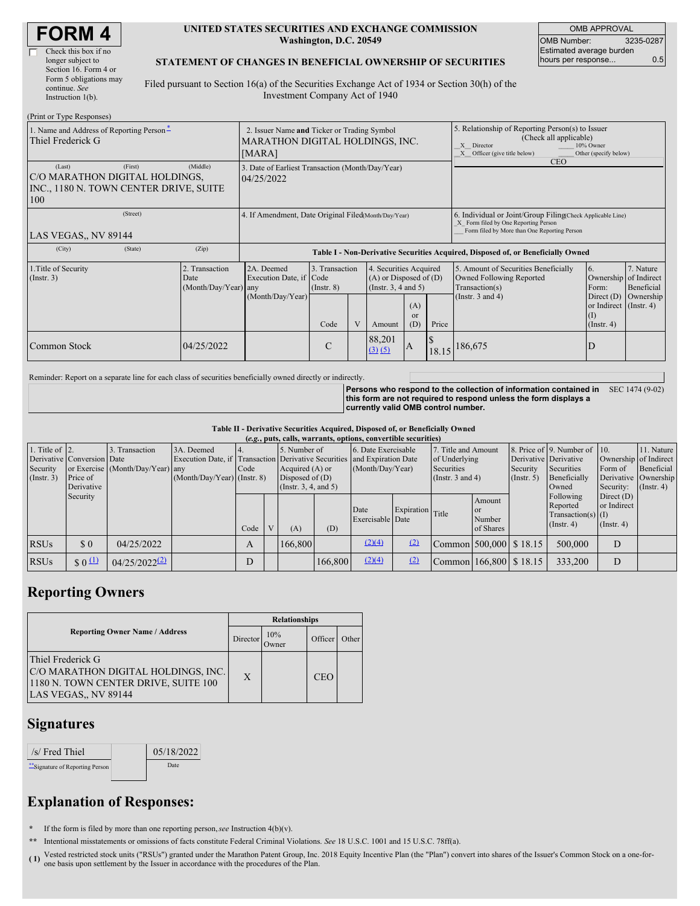| <b>FORM4</b> |
|--------------|
|--------------|

| Check this box if no   |
|------------------------|
| longer subject to      |
| Section 16. Form 4 or  |
| Form 5 obligations may |
| continue. See          |
| Instruction $1(b)$ .   |
|                        |

#### **UNITED STATES SECURITIES AND EXCHANGE COMMISSION Washington, D.C. 20549**

OMB APPROVAL OMB Number: 3235-0287 Estimated average burden hours per response... **6.5** 

#### **STATEMENT OF CHANGES IN BENEFICIAL OWNERSHIP OF SECURITIES**

Filed pursuant to Section 16(a) of the Securities Exchange Act of 1934 or Section 30(h) of the Investment Company Act of 1940

| (Print or Type Responses)                                                                            |            |                                                                                          |                                   |  |                                                                                  |                             |       |                                                                                                                                                                              |                                                    |                                      |  |
|------------------------------------------------------------------------------------------------------|------------|------------------------------------------------------------------------------------------|-----------------------------------|--|----------------------------------------------------------------------------------|-----------------------------|-------|------------------------------------------------------------------------------------------------------------------------------------------------------------------------------|----------------------------------------------------|--------------------------------------|--|
| 1. Name and Address of Reporting Person-<br>Thiel Frederick G                                        |            | 2. Issuer Name and Ticker or Trading Symbol<br>MARATHON DIGITAL HOLDINGS, INC.<br>[MARA] |                                   |  |                                                                                  |                             |       | 5. Relationship of Reporting Person(s) to Issuer<br>(Check all applicable)<br>10% Owner<br>X Director<br>X Officer (give title below)<br>Other (specify below)<br><b>CEO</b> |                                                    |                                      |  |
| (First)<br>(Last)<br>C/O MARATHON DIGITAL HOLDINGS,<br>INC., 1180 N. TOWN CENTER DRIVE, SUITE<br>100 | (Middle)   | 3. Date of Earliest Transaction (Month/Day/Year)<br>04/25/2022                           |                                   |  |                                                                                  |                             |       |                                                                                                                                                                              |                                                    |                                      |  |
| (Street)<br>LAS VEGAS,, NV 89144                                                                     |            | 4. If Amendment, Date Original Filed(Month/Day/Year)                                     |                                   |  |                                                                                  |                             |       | 6. Individual or Joint/Group Filing(Check Applicable Line)<br>X Form filed by One Reporting Person<br>Form filed by More than One Reporting Person                           |                                                    |                                      |  |
| (City)<br>(State)                                                                                    | (Zip)      | Table I - Non-Derivative Securities Acquired, Disposed of, or Beneficially Owned         |                                   |  |                                                                                  |                             |       |                                                                                                                                                                              |                                                    |                                      |  |
| 1. Title of Security<br>2. Transaction<br>(Insert. 3)<br>Date<br>(Month/Day/Year) any                |            | 2A. Deemed<br>Execution Date, if Code<br>(Month/Day/Year)                                | 3. Transaction<br>$($ Instr. $8)$ |  | 4. Securities Acquired<br>$(A)$ or Disposed of $(D)$<br>(Instr. $3, 4$ and $5$ ) |                             |       | 5. Amount of Securities Beneficially<br>Owned Following Reported<br>Transaction(s)<br>(Instr. $3$ and $4$ )                                                                  | 6.<br>Ownership of Indirect<br>Form:<br>Direct (D) | 7. Nature<br>Beneficial<br>Ownership |  |
|                                                                                                      |            |                                                                                          | Code                              |  | Amount                                                                           | (A)<br><sub>or</sub><br>(D) | Price |                                                                                                                                                                              | or Indirect (Instr. 4)<br>(I)<br>$($ Instr. 4 $)$  |                                      |  |
| Common Stock                                                                                         | 04/25/2022 |                                                                                          | C                                 |  | 88,201<br>(3)(5)                                                                 | A                           | 18.15 | 186,675                                                                                                                                                                      | D                                                  |                                      |  |

Reminder: Report on a separate line for each class of securities beneficially owned directly or indirectly.

**Persons who respond to the collection of information contained in this form are not required to respond unless the form displays a currently valid OMB control number.** SEC 1474 (9-02)

**Table II - Derivative Securities Acquired, Disposed of, or Beneficially Owned**

| (e.g., puts, calls, warrants, options, convertible securities) |                                                      |                                                    |                                                                                                                                 |      |                                                                                     |         |                                         |                          |                                                                             |                                     |                                                  |                                                                     |                                                                   |                                                                      |  |
|----------------------------------------------------------------|------------------------------------------------------|----------------------------------------------------|---------------------------------------------------------------------------------------------------------------------------------|------|-------------------------------------------------------------------------------------|---------|-----------------------------------------|--------------------------|-----------------------------------------------------------------------------|-------------------------------------|--------------------------------------------------|---------------------------------------------------------------------|-------------------------------------------------------------------|----------------------------------------------------------------------|--|
| 1. Title of $\vert$ 2.<br>Security<br>(Insert. 3)              | Derivative Conversion Date<br>Price of<br>Derivative | 3. Transaction<br>or Exercise (Month/Day/Year) any | 3A. Deemed<br>Execution Date, if Transaction Derivative Securities and Expiration Date<br>Code<br>$(Month/Day/Year)$ (Instr. 8) |      | 5. Number of<br>Acquired $(A)$ or<br>Disposed of $(D)$<br>(Instr. $3, 4,$ and $5$ ) |         | 6. Date Exercisable<br>(Month/Day/Year) |                          | 7. Title and Amount<br>of Underlying<br>Securities<br>(Instr. $3$ and $4$ ) |                                     | Derivative Derivative<br>Security<br>(Insert. 5) | 8. Price of 9. Number of 10.<br>Securities<br>Beneficially<br>Owned | Ownership of Indirect<br>Form of<br>Security:                     | 11. Nature<br>Beneficial<br>Derivative Ownership<br>$($ Instr. 4 $)$ |  |
|                                                                | Security                                             |                                                    |                                                                                                                                 | Code | $\mathbf{V}$                                                                        | (A)     | (D)                                     | Date<br>Exercisable Date | Expiration Title                                                            |                                     | Amount<br><sub>or</sub><br>Number<br>of Shares   |                                                                     | Following<br>Reported<br>Transaction(s) $(I)$<br>$($ Instr. 4 $)$ | Direct $(D)$<br>or Indirect<br>$($ Instr. 4)                         |  |
| <b>RSUs</b>                                                    | \$0                                                  | 04/25/2022                                         |                                                                                                                                 | А    |                                                                                     | 166,800 |                                         | (2)(4)                   | (2)                                                                         | $\text{Common}$ 500,000 \, \$ 18.15 |                                                  |                                                                     | 500,000                                                           | D                                                                    |  |
| <b>RSUs</b>                                                    | $\frac{1}{2}$ 0 $\frac{11}{2}$                       | $04/25/2022^{(2)}$                                 |                                                                                                                                 | D    |                                                                                     |         | 166,800                                 | (2)(4)                   | (2)                                                                         | Common 166,800 \$18.15              |                                                  |                                                                     | 333,200                                                           | D                                                                    |  |

## **Reporting Owners**

|                                                                                                                          | <b>Relationships</b> |                     |            |       |  |  |  |  |
|--------------------------------------------------------------------------------------------------------------------------|----------------------|---------------------|------------|-------|--|--|--|--|
| <b>Reporting Owner Name / Address</b>                                                                                    | Director             | 10%<br><b>Jwner</b> | Officer    | Other |  |  |  |  |
| Thiel Frederick G<br>C/O MARATHON DIGITAL HOLDINGS, INC.<br>1180 N. TOWN CENTER DRIVE, SUITE 100<br>LAS VEGAS., NV 89144 | $\mathbf{x}$         |                     | <b>CEO</b> |       |  |  |  |  |

### **Signatures**

| /s/ Fred Thiel                 | 05/18/2022 |  |
|--------------------------------|------------|--|
| "Signature of Reporting Person | Date       |  |

# **Explanation of Responses:**

**\*** If the form is filed by more than one reporting person,*see* Instruction 4(b)(v).

**\*\*** Intentional misstatements or omissions of facts constitute Federal Criminal Violations. *See* 18 U.S.C. 1001 and 15 U.S.C. 78ff(a).

(1) Vested restricted stock units ("RSUs") granted under the Marathon Patent Group, Inc. 2018 Equity Incentive Plan (the "Plan") convert into shares of the Issuer's Common Stock on a one-for-<br>
one hesis upon estimated to t one basis upon settlement by the Issuer in accordance with the procedures of the Plan.